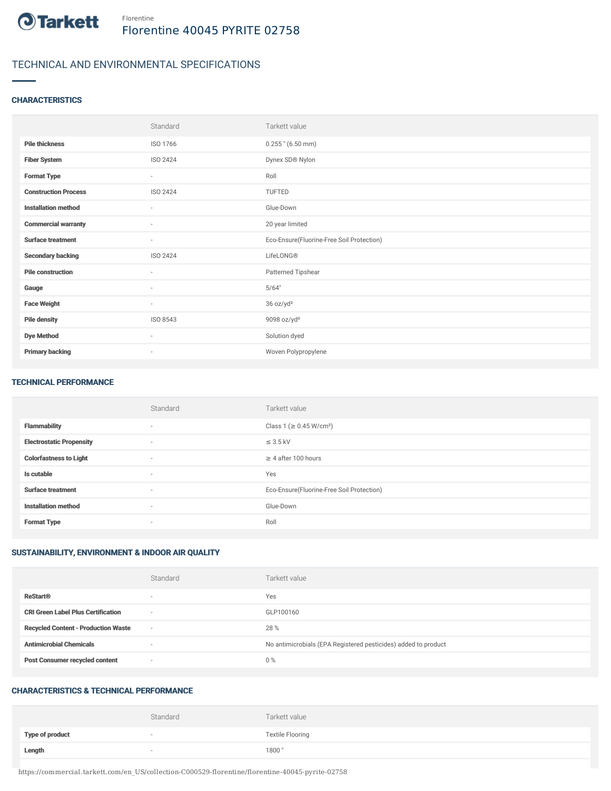

## TECHNICAL AND ENVIRONMENTAL SPECIFICATIONS

### **CHARACTERISTICS**

|                             | Standard                 | Tarkett value                             |
|-----------------------------|--------------------------|-------------------------------------------|
| <b>Pile thickness</b>       | ISO 1766                 | $0.255$ " (6.50 mm)                       |
| <b>Fiber System</b>         | ISO 2424                 | Dynex SD® Nylon                           |
| <b>Format Type</b>          | $\sim$                   | Roll                                      |
| <b>Construction Process</b> | ISO 2424                 | <b>TUFTED</b>                             |
| <b>Installation method</b>  | $\sim$                   | Glue-Down                                 |
| <b>Commercial warranty</b>  | $\sim$                   | 20 year limited                           |
| <b>Surface treatment</b>    | $\sim$                   | Eco-Ensure(Fluorine-Free Soil Protection) |
| <b>Secondary backing</b>    | ISO 2424                 | LifeLONG®                                 |
| <b>Pile construction</b>    | ٠                        | Patterned Tipshear                        |
| Gauge                       | $\sim$                   | 5/64"                                     |
| <b>Face Weight</b>          | $\sim$                   | 36 oz/yd <sup>2</sup>                     |
| <b>Pile density</b>         | ISO 8543                 | 9098 oz/yd $3$                            |
| <b>Dye Method</b>           | $\sim$                   | Solution dyed                             |
| <b>Primary backing</b>      | $\overline{\phantom{a}}$ | Woven Polypropylene                       |

#### TECHNICAL PERFORMANCE

|                                 | Standard                 | Tarkett value                             |
|---------------------------------|--------------------------|-------------------------------------------|
| <b>Flammability</b>             | $\overline{\phantom{a}}$ | Class 1 (≥ 0.45 W/cm <sup>2</sup> )       |
| <b>Electrostatic Propensity</b> | $\sim$                   | $\leq$ 3.5 kV                             |
| <b>Colorfastness to Light</b>   | $\sim$                   | $\geq$ 4 after 100 hours                  |
| Is cutable                      | $\sim$                   | Yes                                       |
| <b>Surface treatment</b>        | $\sim$                   | Eco-Ensure(Fluorine-Free Soil Protection) |
| <b>Installation method</b>      | $\overline{\phantom{a}}$ | Glue-Down                                 |
| <b>Format Type</b>              | $\overline{\phantom{a}}$ | Roll                                      |

#### SUSTAINABILITY, ENVIRONMENT & INDOOR AIR QUALITY

|                                            | Standard                 | Tarkett value                                                  |
|--------------------------------------------|--------------------------|----------------------------------------------------------------|
| <b>ReStart®</b>                            | $\overline{\phantom{a}}$ | Yes                                                            |
| <b>CRI Green Label Plus Certification</b>  | $\overline{\phantom{a}}$ | GLP100160                                                      |
| <b>Recycled Content - Production Waste</b> | $\overline{\phantom{a}}$ | 28 %                                                           |
| <b>Antimicrobial Chemicals</b>             | <b>1999</b>              | No antimicrobials (EPA Registered pesticides) added to product |
| <b>Post Consumer recycled content</b>      | $\overline{\phantom{a}}$ | $0\%$                                                          |

#### CHARACTERISTICS & TECHNICAL PERFORMANCE

|                        | Standard                 | Tarkett value           |
|------------------------|--------------------------|-------------------------|
| <b>Type of product</b> | $\overline{\phantom{a}}$ | <b>Textile Flooring</b> |
| Length                 |                          | 1800"                   |

https://commercial.tarkett.com/en\_US/collection-C000529-florentine/florentine-40045-pyrite-02758